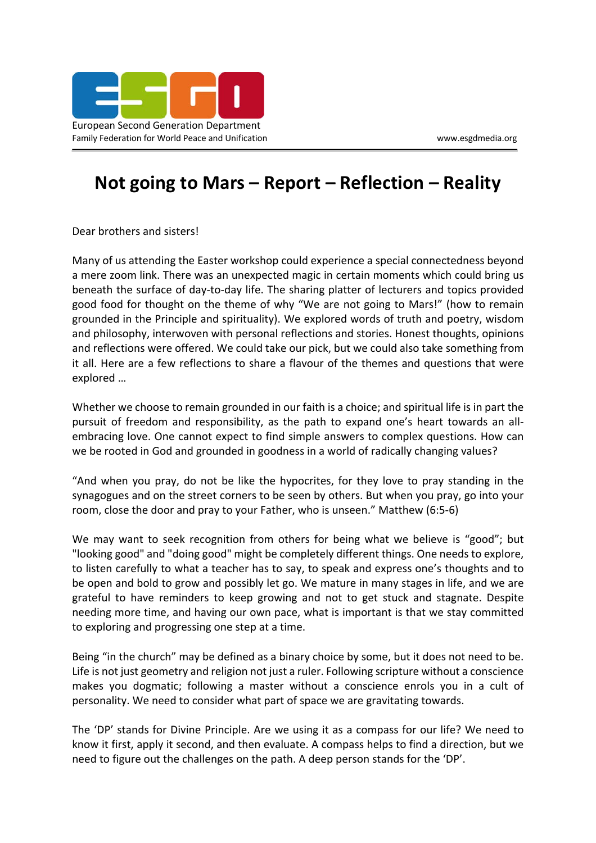

## **Not going to Mars – Report – Reflection – Reality**

Dear brothers and sisters!

Many of us attending the Easter workshop could experience a special connectedness beyond a mere zoom link. There was an unexpected magic in certain moments which could bring us beneath the surface of day-to-day life. The sharing platter of lecturers and topics provided good food for thought on the theme of why "We are not going to Mars!" (how to remain grounded in the Principle and spirituality). We explored words of truth and poetry, wisdom and philosophy, interwoven with personal reflections and stories. Honest thoughts, opinions and reflections were offered. We could take our pick, but we could also take something from it all. Here are a few reflections to share a flavour of the themes and questions that were explored …

Whether we choose to remain grounded in our faith is a choice; and spiritual life is in part the pursuit of freedom and responsibility, as the path to expand one's heart towards an allembracing love. One cannot expect to find simple answers to complex questions. How can we be rooted in God and grounded in goodness in a world of radically changing values?

"And when you pray, do not be like the hypocrites, for they love to pray standing in the synagogues and on the street corners to be seen by others. But when you pray, go into your room, close the door and pray to your Father, who is unseen." Matthew (6:5-6)

We may want to seek recognition from others for being what we believe is "good"; but "looking good" and "doing good" might be completely different things. One needs to explore, to listen carefully to what a teacher has to say, to speak and express one's thoughts and to be open and bold to grow and possibly let go. We mature in many stages in life, and we are grateful to have reminders to keep growing and not to get stuck and stagnate. Despite needing more time, and having our own pace, what is important is that we stay committed to exploring and progressing one step at a time.

Being "in the church" may be defined as a binary choice by some, but it does not need to be. Life is not just geometry and religion not just a ruler. Following scripture without a conscience makes you dogmatic; following a master without a conscience enrols you in a cult of personality. We need to consider what part of space we are gravitating towards.

The 'DP' stands for Divine Principle. Are we using it as a compass for our life? We need to know it first, apply it second, and then evaluate. A compass helps to find a direction, but we need to figure out the challenges on the path. A deep person stands for the 'DP'.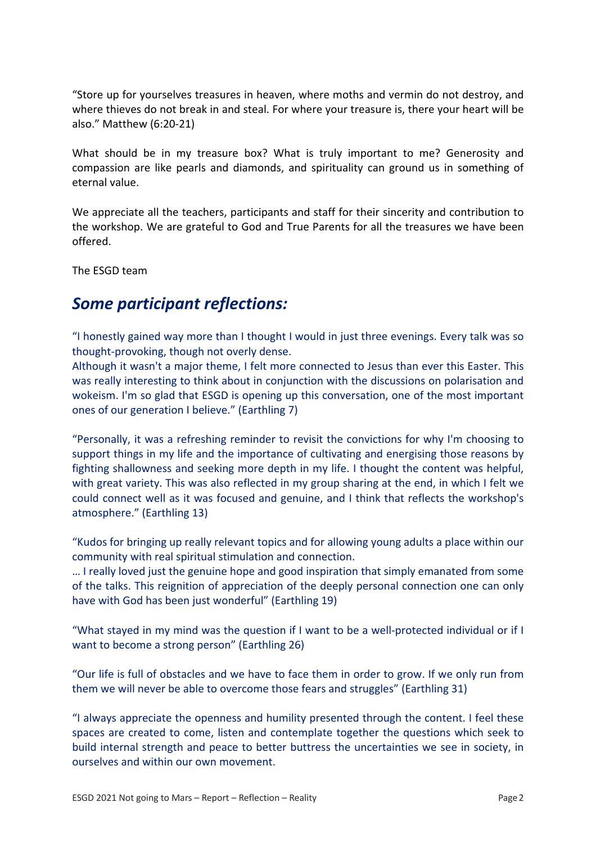"Store up for yourselves treasures in heaven, where moths and vermin do not destroy, and where thieves do not break in and steal. For where your treasure is, there your heart will be also." Matthew (6:20-21)

What should be in my treasure box? What is truly important to me? Generosity and compassion are like pearls and diamonds, and spirituality can ground us in something of eternal value.

We appreciate all the teachers, participants and staff for their sincerity and contribution to the workshop. We are grateful to God and True Parents for all the treasures we have been offered.

The ESGD team

## *Some participant reflections:*

"I honestly gained way more than I thought I would in just three evenings. Every talk was so thought-provoking, though not overly dense.

Although it wasn't a major theme, I felt more connected to Jesus than ever this Easter. This was really interesting to think about in conjunction with the discussions on polarisation and wokeism. I'm so glad that ESGD is opening up this conversation, one of the most important ones of our generation I believe." (Earthling 7)

"Personally, it was a refreshing reminder to revisit the convictions for why I'm choosing to support things in my life and the importance of cultivating and energising those reasons by fighting shallowness and seeking more depth in my life. I thought the content was helpful, with great variety. This was also reflected in my group sharing at the end, in which I felt we could connect well as it was focused and genuine, and I think that reflects the workshop's atmosphere." (Earthling 13)

"Kudos for bringing up really relevant topics and for allowing young adults a place within our community with real spiritual stimulation and connection.

… I really loved just the genuine hope and good inspiration that simply emanated from some of the talks. This reignition of appreciation of the deeply personal connection one can only have with God has been just wonderful" (Earthling 19)

"What stayed in my mind was the question if I want to be a well-protected individual or if I want to become a strong person" (Earthling 26)

"Our life is full of obstacles and we have to face them in order to grow. If we only run from them we will never be able to overcome those fears and struggles" (Earthling 31)

"I always appreciate the openness and humility presented through the content. I feel these spaces are created to come, listen and contemplate together the questions which seek to build internal strength and peace to better buttress the uncertainties we see in society, in ourselves and within our own movement.